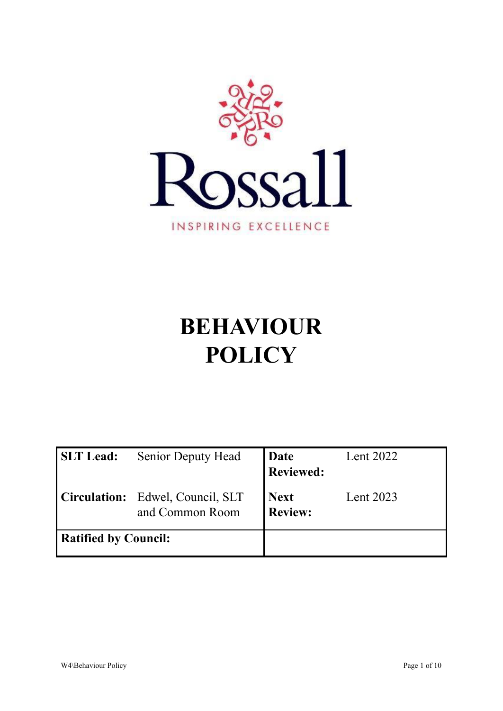

# **BEHAVIOUR POLICY**

| <b>SLT Lead:</b>            | <b>Senior Deputy Head</b>                           | Date<br><b>Reviewed:</b> | Lent 2022 |
|-----------------------------|-----------------------------------------------------|--------------------------|-----------|
|                             | Circulation: Edwel, Council, SLT<br>and Common Room | <b>Next</b><br>Review:   | Lent 2023 |
| <b>Ratified by Council:</b> |                                                     |                          |           |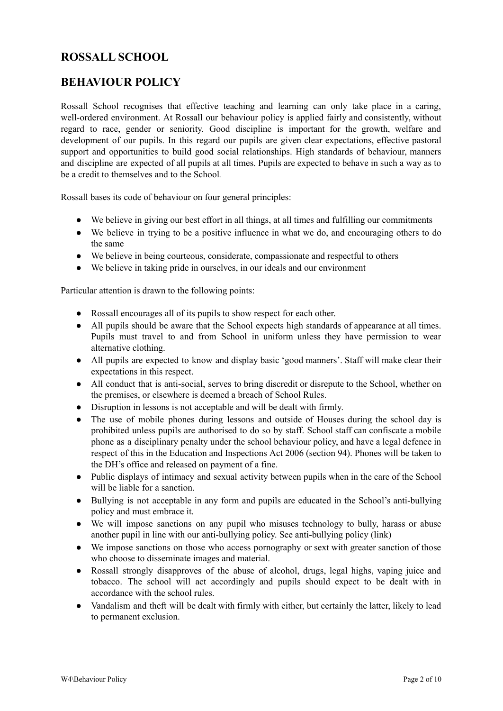# **ROSSALL SCHOOL**

# **BEHAVIOUR POLICY**

Rossall School recognises that effective teaching and learning can only take place in a caring, well-ordered environment. At Rossall our behaviour policy is applied fairly and consistently, without regard to race, gender or seniority. Good discipline is important for the growth, welfare and development of our pupils. In this regard our pupils are given clear expectations, effective pastoral support and opportunities to build good social relationships. High standards of behaviour, manners and discipline are expected of all pupils at all times. Pupils are expected to behave in such a way as to be a credit to themselves and to the School*.*

Rossall bases its code of behaviour on four general principles:

- We believe in giving our best effort in all things, at all times and fulfilling our commitments
- We believe in trying to be a positive influence in what we do, and encouraging others to do the same
- We believe in being courteous, considerate, compassionate and respectful to others
- We believe in taking pride in ourselves, in our ideals and our environment

Particular attention is drawn to the following points:

- Rossall encourages all of its pupils to show respect for each other.
- All pupils should be aware that the School expects high standards of appearance at all times. Pupils must travel to and from School in uniform unless they have permission to wear alternative clothing.
- All pupils are expected to know and display basic 'good manners'. Staff will make clear their expectations in this respect.
- All conduct that is anti-social, serves to bring discredit or disrepute to the School, whether on the premises, or elsewhere is deemed a breach of School Rules.
- Disruption in lessons is not acceptable and will be dealt with firmly.
- The use of mobile phones during lessons and outside of Houses during the school day is prohibited unless pupils are authorised to do so by staff. School staff can confiscate a mobile phone as a disciplinary penalty under the school behaviour policy, and have a legal defence in respect of this in the Education and Inspections Act 2006 (section 94). Phones will be taken to the DH's office and released on payment of a fine.
- Public displays of intimacy and sexual activity between pupils when in the care of the School will be liable for a sanction.
- Bullying is not acceptable in any form and pupils are educated in the School's anti-bullying policy and must embrace it.
- We will impose sanctions on any pupil who misuses technology to bully, harass or abuse another pupil in line with our anti-bullying policy. See anti-bullying policy (link)
- We impose sanctions on those who access pornography or sext with greater sanction of those who choose to disseminate images and material.
- **●** Rossall strongly disapproves of the abuse of alcohol, drugs, legal highs, vaping juice and tobacco. The school will act accordingly and pupils should expect to be dealt with in accordance with the school rules.
- **●** Vandalism and theft will be dealt with firmly with either, but certainly the latter, likely to lead to permanent exclusion.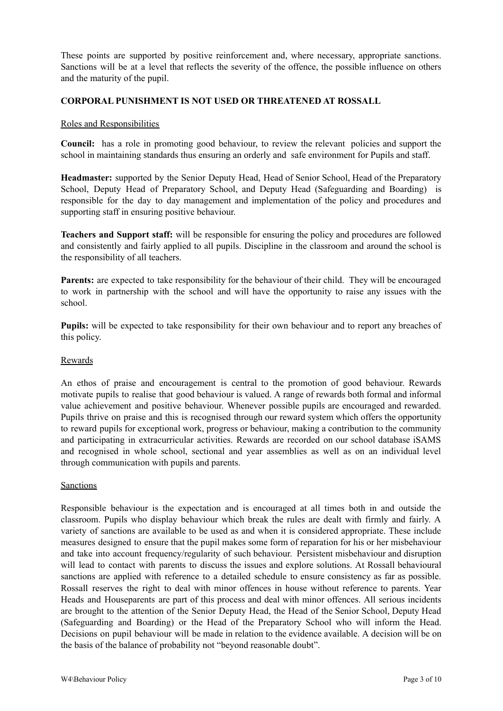These points are supported by positive reinforcement and, where necessary, appropriate sanctions. Sanctions will be at a level that reflects the severity of the offence, the possible influence on others and the maturity of the pupil.

# **CORPORAL PUNISHMENT IS NOT USED OR THREATENED AT ROSSALL**

#### Roles and Responsibilities

**Council:** has a role in promoting good behaviour, to review the relevant policies and support the school in maintaining standards thus ensuring an orderly and safe environment for Pupils and staff.

**Headmaster:** supported by the Senior Deputy Head, Head of Senior School, Head of the Preparatory School, Deputy Head of Preparatory School, and Deputy Head (Safeguarding and Boarding) is responsible for the day to day management and implementation of the policy and procedures and supporting staff in ensuring positive behaviour.

**Teachers and Support staff:** will be responsible for ensuring the policy and procedures are followed and consistently and fairly applied to all pupils. Discipline in the classroom and around the school is the responsibility of all teachers.

**Parents:** are expected to take responsibility for the behaviour of their child. They will be encouraged to work in partnership with the school and will have the opportunity to raise any issues with the school.

**Pupils:** will be expected to take responsibility for their own behaviour and to report any breaches of this policy.

#### Rewards

An ethos of praise and encouragement is central to the promotion of good behaviour. Rewards motivate pupils to realise that good behaviour is valued. A range of rewards both formal and informal value achievement and positive behaviour. Whenever possible pupils are encouraged and rewarded. Pupils thrive on praise and this is recognised through our reward system which offers the opportunity to reward pupils for exceptional work, progress or behaviour, making a contribution to the community and participating in extracurricular activities. Rewards are recorded on our school database iSAMS and recognised in whole school, sectional and year assemblies as well as on an individual level through communication with pupils and parents.

#### Sanctions

Responsible behaviour is the expectation and is encouraged at all times both in and outside the classroom. Pupils who display behaviour which break the rules are dealt with firmly and fairly. A variety of sanctions are available to be used as and when it is considered appropriate. These include measures designed to ensure that the pupil makes some form of reparation for his or her misbehaviour and take into account frequency/regularity of such behaviour. Persistent misbehaviour and disruption will lead to contact with parents to discuss the issues and explore solutions. At Rossall behavioural sanctions are applied with reference to a detailed schedule to ensure consistency as far as possible. Rossall reserves the right to deal with minor offences in house without reference to parents. Year Heads and Houseparents are part of this process and deal with minor offences. All serious incidents are brought to the attention of the Senior Deputy Head, the Head of the Senior School, Deputy Head (Safeguarding and Boarding) or the Head of the Preparatory School who will inform the Head. Decisions on pupil behaviour will be made in relation to the evidence available. A decision will be on the basis of the balance of probability not "beyond reasonable doubt".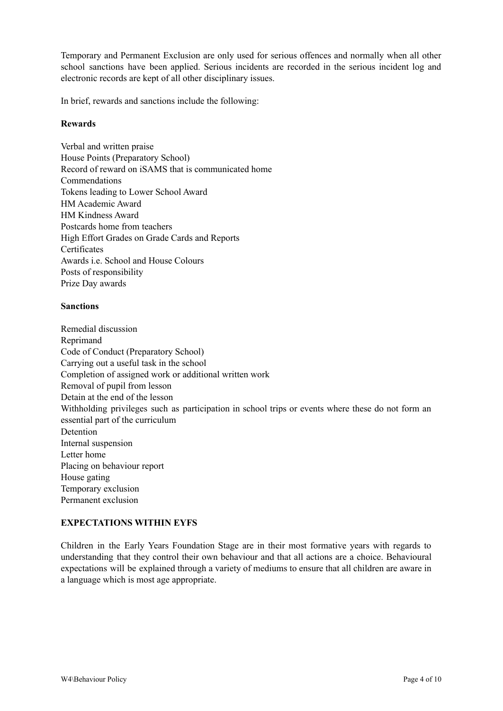Temporary and Permanent Exclusion are only used for serious offences and normally when all other school sanctions have been applied. Serious incidents are recorded in the serious incident log and electronic records are kept of all other disciplinary issues.

In brief, rewards and sanctions include the following:

# **Rewards**

Verbal and written praise House Points (Preparatory School) Record of reward on iSAMS that is communicated home Commendations Tokens leading to Lower School Award HM Academic Award HM Kindness Award Postcards home from teachers High Effort Grades on Grade Cards and Reports **Certificates** Awards i.e. School and House Colours Posts of responsibility Prize Day awards

## **Sanctions**

Remedial discussion Reprimand Code of Conduct (Preparatory School) Carrying out a useful task in the school Completion of assigned work or additional written work Removal of pupil from lesson Detain at the end of the lesson Withholding privileges such as participation in school trips or events where these do not form an essential part of the curriculum Detention Internal suspension Letter home Placing on behaviour report House gating Temporary exclusion Permanent exclusion

# **EXPECTATIONS WITHIN EYFS**

Children in the Early Years Foundation Stage are in their most formative years with regards to understanding that they control their own behaviour and that all actions are a choice. Behavioural expectations will be explained through a variety of mediums to ensure that all children are aware in a language which is most age appropriate.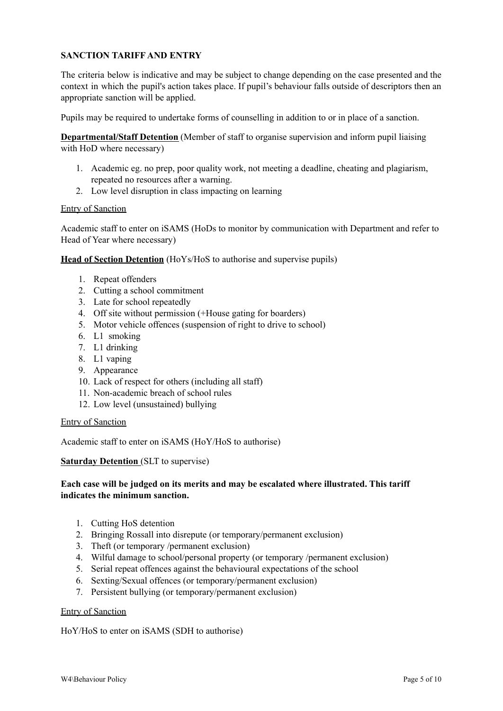# **SANCTION TARIFF AND ENTRY**

The criteria below is indicative and may be subject to change depending on the case presented and the context in which the pupil's action takes place. If pupil's behaviour falls outside of descriptors then an appropriate sanction will be applied.

Pupils may be required to undertake forms of counselling in addition to or in place of a sanction.

**Departmental/Staff Detention** (Member of staff to organise supervision and inform pupil liaising with HoD where necessary)

- 1. Academic eg. no prep, poor quality work, not meeting a deadline, cheating and plagiarism, repeated no resources after a warning.
- 2. Low level disruption in class impacting on learning

#### Entry of Sanction

Academic staff to enter on iSAMS (HoDs to monitor by communication with Department and refer to Head of Year where necessary)

**Head of Section Detention** (HoYs/HoS to authorise and supervise pupils)

- 1. Repeat offenders
- 2. Cutting a school commitment
- 3. Late for school repeatedly
- 4. Off site without permission (+House gating for boarders)
- 5. Motor vehicle offences (suspension of right to drive to school)
- 6. L1 smoking
- 7. L1 drinking
- 8. L1 vaping
- 9. Appearance
- 10. Lack of respect for others (including all staff)
- 11. Non-academic breach of school rules
- 12. Low level (unsustained) bullying

#### Entry of Sanction

Academic staff to enter on iSAMS (HoY/HoS to authorise)

#### **Saturday Detention** (SLT to supervise)

# **Each case will be judged on its merits and may be escalated where illustrated. This tariff indicates the minimum sanction.**

- 1. Cutting HoS detention
- 2. Bringing Rossall into disrepute (or temporary/permanent exclusion)
- 3. Theft (or temporary /permanent exclusion)
- 4. Wilful damage to school/personal property (or temporary /permanent exclusion)
- 5. Serial repeat offences against the behavioural expectations of the school
- 6. Sexting/Sexual offences (or temporary/permanent exclusion)
- 7. Persistent bullying (or temporary/permanent exclusion)

#### Entry of Sanction

HoY/HoS to enter on iSAMS (SDH to authorise)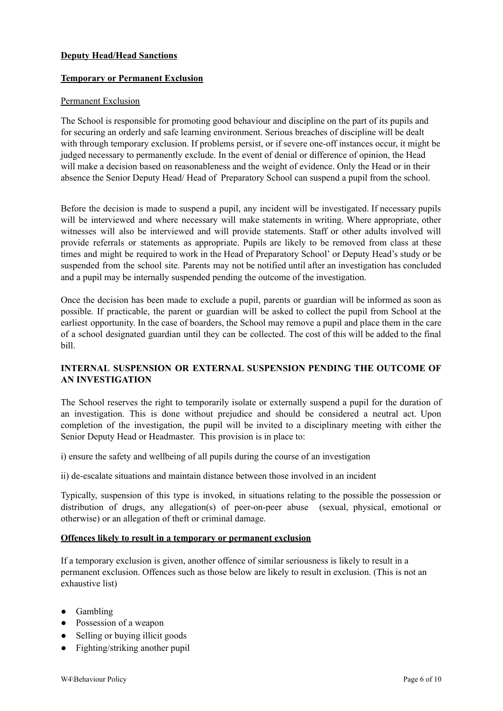# **Deputy Head/Head Sanctions**

# **Temporary or Permanent Exclusion**

## Permanent Exclusion

The School is responsible for promoting good behaviour and discipline on the part of its pupils and for securing an orderly and safe learning environment. Serious breaches of discipline will be dealt with through temporary exclusion. If problems persist, or if severe one-off instances occur, it might be judged necessary to permanently exclude. In the event of denial or difference of opinion, the Head will make a decision based on reasonableness and the weight of evidence. Only the Head or in their absence the Senior Deputy Head/ Head of Preparatory School can suspend a pupil from the school.

Before the decision is made to suspend a pupil, any incident will be investigated. If necessary pupils will be interviewed and where necessary will make statements in writing. Where appropriate, other witnesses will also be interviewed and will provide statements. Staff or other adults involved will provide referrals or statements as appropriate. Pupils are likely to be removed from class at these times and might be required to work in the Head of Preparatory School' or Deputy Head's study or be suspended from the school site. Parents may not be notified until after an investigation has concluded and a pupil may be internally suspended pending the outcome of the investigation.

Once the decision has been made to exclude a pupil, parents or guardian will be informed as soon as possible. If practicable, the parent or guardian will be asked to collect the pupil from School at the earliest opportunity. In the case of boarders, the School may remove a pupil and place them in the care of a school designated guardian until they can be collected. The cost of this will be added to the final bill.

# **INTERNAL SUSPENSION OR EXTERNAL SUSPENSION PENDING THE OUTCOME OF AN INVESTIGATION**

The School reserves the right to temporarily isolate or externally suspend a pupil for the duration of an investigation. This is done without prejudice and should be considered a neutral act. Upon completion of the investigation, the pupil will be invited to a disciplinary meeting with either the Senior Deputy Head or Headmaster. This provision is in place to:

i) ensure the safety and wellbeing of all pupils during the course of an investigation

ii) de-escalate situations and maintain distance between those involved in an incident

Typically, suspension of this type is invoked, in situations relating to the possible the possession or distribution of drugs, any allegation(s) of peer-on-peer abuse (sexual, physical, emotional or otherwise) or an allegation of theft or criminal damage.

## **Offences likely to result in a temporary or permanent exclusion**

If a temporary exclusion is given, another offence of similar seriousness is likely to result in a permanent exclusion. Offences such as those below are likely to result in exclusion. (This is not an exhaustive list)

- Gambling
- Possession of a weapon
- Selling or buying illicit goods
- Fighting/striking another pupil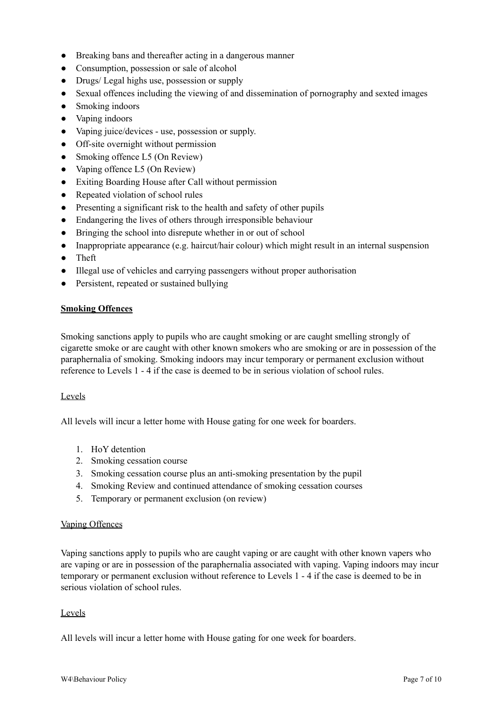- Breaking bans and thereafter acting in a dangerous manner
- Consumption, possession or sale of alcohol
- Drugs/ Legal highs use, possession or supply
- Sexual offences including the viewing of and dissemination of pornography and sexted images
- Smoking indoors
- Vaping indoors
- Vaping juice/devices use, possession or supply.
- Off-site overnight without permission
- $\bullet$  Smoking offence L5 (On Review)
- Vaping offence L5 (On Review)
- Exiting Boarding House after Call without permission
- Repeated violation of school rules
- Presenting a significant risk to the health and safety of other pupils
- Endangering the lives of others through irresponsible behaviour
- Bringing the school into disrepute whether in or out of school
- Inappropriate appearance (e.g. haircut/hair colour) which might result in an internal suspension
- Theft
- Illegal use of vehicles and carrying passengers without proper authorisation
- Persistent, repeated or sustained bullying

#### **Smoking Offences**

Smoking sanctions apply to pupils who are caught smoking or are caught smelling strongly of cigarette smoke or are caught with other known smokers who are smoking or are in possession of the paraphernalia of smoking. Smoking indoors may incur temporary or permanent exclusion without reference to Levels 1 - 4 if the case is deemed to be in serious violation of school rules.

#### Levels

All levels will incur a letter home with House gating for one week for boarders.

- 1. HoY detention
- 2. Smoking cessation course
- 3. Smoking cessation course plus an anti-smoking presentation by the pupil
- 4. Smoking Review and continued attendance of smoking cessation courses
- 5. Temporary or permanent exclusion (on review)

#### Vaping Offences

Vaping sanctions apply to pupils who are caught vaping or are caught with other known vapers who are vaping or are in possession of the paraphernalia associated with vaping. Vaping indoors may incur temporary or permanent exclusion without reference to Levels 1 - 4 if the case is deemed to be in serious violation of school rules.

## Levels

All levels will incur a letter home with House gating for one week for boarders.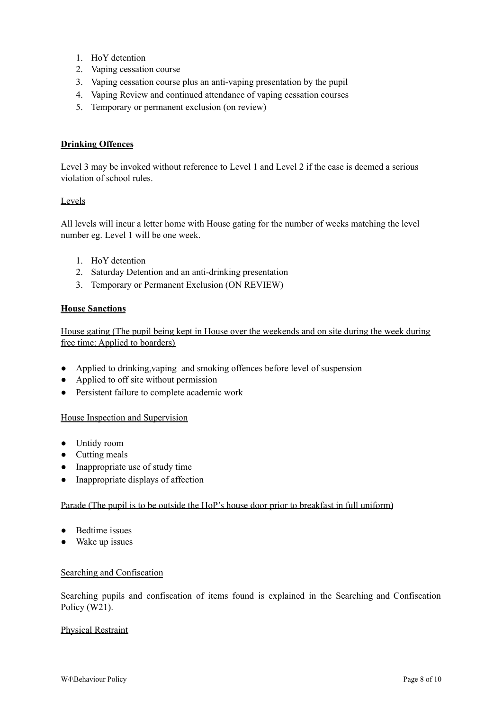- 1. HoY detention
- 2. Vaping cessation course
- 3. Vaping cessation course plus an anti-vaping presentation by the pupil
- 4. Vaping Review and continued attendance of vaping cessation courses
- 5. Temporary or permanent exclusion (on review)

# **Drinking Offences**

Level 3 may be invoked without reference to Level 1 and Level 2 if the case is deemed a serious violation of school rules.

# Levels

All levels will incur a letter home with House gating for the number of weeks matching the level number eg. Level 1 will be one week.

- 1. HoY detention
- 2. Saturday Detention and an anti-drinking presentation
- 3. Temporary or Permanent Exclusion (ON REVIEW)

# **House Sanctions**

House gating (The pupil being kept in House over the weekends and on site during the week during free time: Applied to boarders)

- Applied to drinking,vaping and smoking offences before level of suspension
- Applied to off site without permission
- Persistent failure to complete academic work

## House Inspection and Supervision

- Untidy room
- Cutting meals
- Inappropriate use of study time
- Inappropriate displays of affection

## Parade (The pupil is to be outside the HoP's house door prior to breakfast in full uniform)

- Bedtime issues
- Wake up issues

## Searching and Confiscation

Searching pupils and confiscation of items found is explained in the Searching and Confiscation Policy (W21).

## Physical Restraint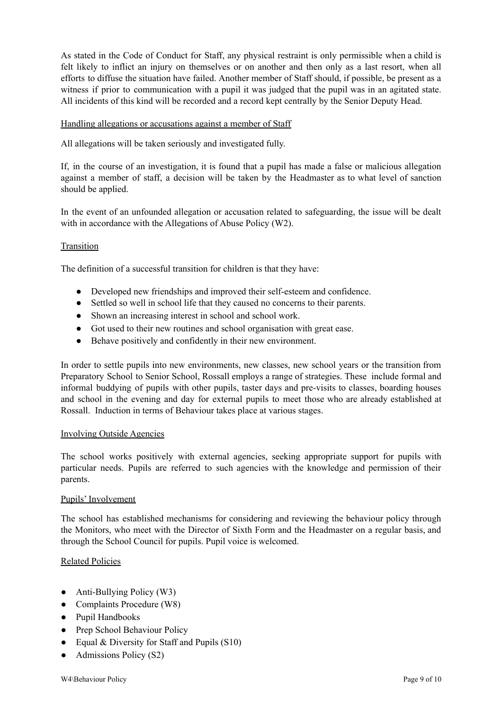As stated in the Code of Conduct for Staff, any physical restraint is only permissible when a child is felt likely to inflict an injury on themselves or on another and then only as a last resort, when all efforts to diffuse the situation have failed. Another member of Staff should, if possible, be present as a witness if prior to communication with a pupil it was judged that the pupil was in an agitated state. All incidents of this kind will be recorded and a record kept centrally by the Senior Deputy Head.

## Handling allegations or accusations against a member of Staff

All allegations will be taken seriously and investigated fully.

If, in the course of an investigation, it is found that a pupil has made a false or malicious allegation against a member of staff, a decision will be taken by the Headmaster as to what level of sanction should be applied.

In the event of an unfounded allegation or accusation related to safeguarding, the issue will be dealt with in accordance with the Allegations of Abuse Policy (W2).

## Transition

The definition of a successful transition for children is that they have:

- Developed new friendships and improved their self-esteem and confidence.
- Settled so well in school life that they caused no concerns to their parents.
- Shown an increasing interest in school and school work.
- Got used to their new routines and school organisation with great ease.
- Behave positively and confidently in their new environment.

In order to settle pupils into new environments, new classes, new school years or the transition from Preparatory School to Senior School, Rossall employs a range of strategies. These include formal and informal buddying of pupils with other pupils, taster days and pre-visits to classes, boarding houses and school in the evening and day for external pupils to meet those who are already established at Rossall. Induction in terms of Behaviour takes place at various stages.

#### Involving Outside Agencies

The school works positively with external agencies, seeking appropriate support for pupils with particular needs. Pupils are referred to such agencies with the knowledge and permission of their parents.

## Pupils' Involvement

The school has established mechanisms for considering and reviewing the behaviour policy through the Monitors, who meet with the Director of Sixth Form and the Headmaster on a regular basis, and through the School Council for pupils. Pupil voice is welcomed.

## Related Policies

- Anti-Bullying Policy (W3)
- Complaints Procedure (W8)
- Pupil Handbooks
- Prep School Behaviour Policy
- Equal & Diversity for Staff and Pupils (S10)
- Admissions Policy (S2)